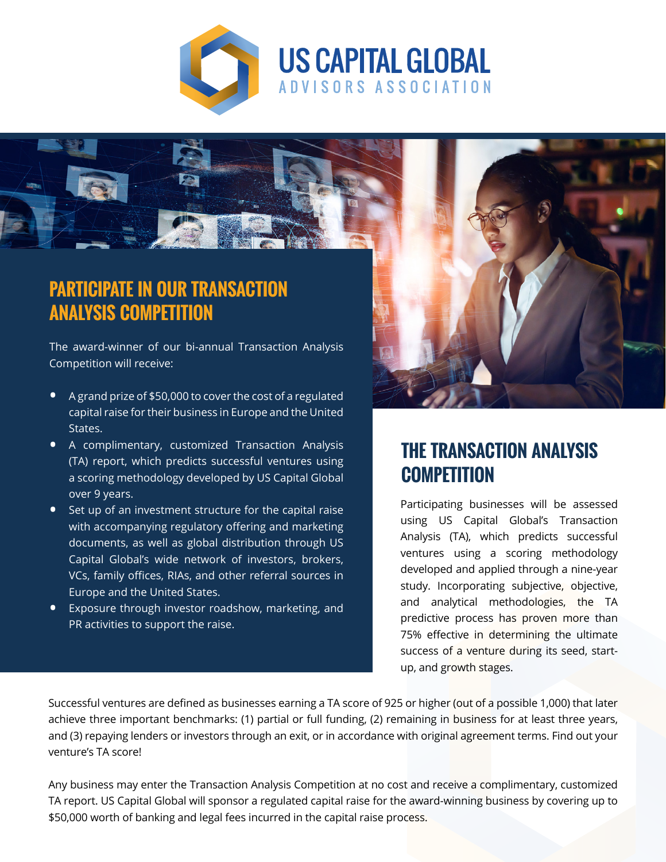



# **PARTICIPATE IN OUR TRANSACTION ANALYSIS COMPETITION**

The award-winner of our bi-annual Transaction Analysis Competition will receive:

- A grand prize of \$50,000 to cover the cost of a regulated capital raise for their business in Europe and the United States.
- A complimentary, customized Transaction Analysis (TA) report, which predicts successful ventures using a scoring methodology developed by US Capital Global over 9 years.
- Set up of an investment structure for the capital raise with accompanying regulatory offering and marketing documents, as well as global distribution through US Capital Global's wide network of investors, brokers, VCs, family offices, RIAs, and other referral sources in Europe and the United States.
- **•** Exposure through investor roadshow, marketing, and PR activities to support the raise.



### **THE TRANSACTION ANALYSIS COMPETITION**

Participating businesses will be assessed using US Capital Global's Transaction Analysis (TA), which predicts successful ventures using a scoring methodology developed and applied through a nine-year study. Incorporating subjective, objective, and analytical methodologies, the TA predictive process has proven more than 75% effective in determining the ultimate success of a venture during its seed, startup, and growth stages.

Successful ventures are defined as businesses earning a TA score of 925 or higher (out of a possible 1,000) that later achieve three important benchmarks: (1) partial or full funding, (2) remaining in business for at least three years, and (3) repaying lenders or investors through an exit, or in accordance with original agreement terms. Find out your venture's TA score!

Any business may enter the Transaction Analysis Competition at no cost and receive a complimentary, customized TA report. US Capital Global will sponsor a regulated capital raise for the award-winning business by covering up to \$50,000 worth of banking and legal fees incurred in the capital raise process.